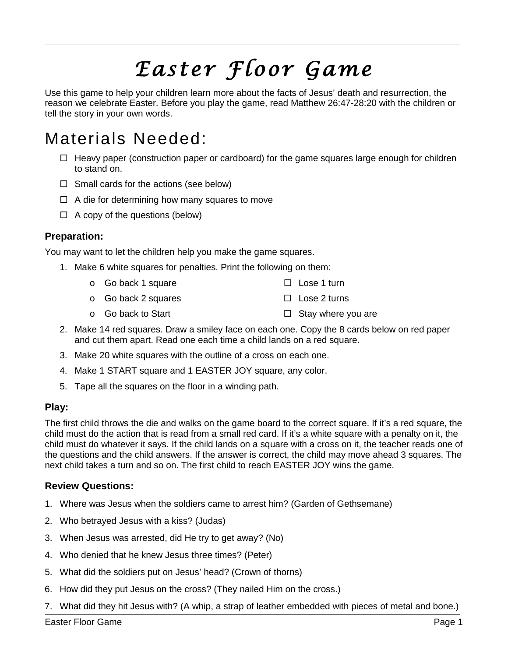# *Easter Floor Game*

Use this game to help your children learn more about the facts of Jesus' death and resurrection, the reason we celebrate Easter. Before you play the game, read Matthew 26:47-28:20 with the children or tell the story in your own words.

# Materials Needed:

- $\Box$  Heavy paper (construction paper or cardboard) for the game squares large enough for children to stand on.
- $\Box$  Small cards for the actions (see below)
- $\Box$  A die for determining how many squares to move
- $\Box$  A copy of the questions (below)

### **Preparation:**

You may want to let the children help you make the game squares.

- 1. Make 6 white squares for penalties. Print the following on them:
	- o Go back 1 square  $\square$  Lose 1 turn
	- o Go back 2 squares  $\Box$  Lose 2 turns
	- o Go back to Start  $\Box$  Stay where you are
- 2. Make 14 red squares. Draw a smiley face on each one. Copy the 8 cards below on red paper and cut them apart. Read one each time a child lands on a red square.
- 3. Make 20 white squares with the outline of a cross on each one.
- 4. Make 1 START square and 1 EASTER JOY square, any color.
- 5. Tape all the squares on the floor in a winding path.

#### **Play:**

The first child throws the die and walks on the game board to the correct square. If it's a red square, the child must do the action that is read from a small red card. If it's a white square with a penalty on it, the child must do whatever it says. If the child lands on a square with a cross on it, the teacher reads one of the questions and the child answers. If the answer is correct, the child may move ahead 3 squares. The next child takes a turn and so on. The first child to reach EASTER JOY wins the game.

#### **Review Questions:**

- 1. Where was Jesus when the soldiers came to arrest him? (Garden of Gethsemane)
- 2. Who betrayed Jesus with a kiss? (Judas)
- 3. When Jesus was arrested, did He try to get away? (No)
- 4. Who denied that he knew Jesus three times? (Peter)
- 5. What did the soldiers put on Jesus' head? (Crown of thorns)
- 6. How did they put Jesus on the cross? (They nailed Him on the cross.)
- 7. What did they hit Jesus with? (A whip, a strap of leather embedded with pieces of metal and bone.)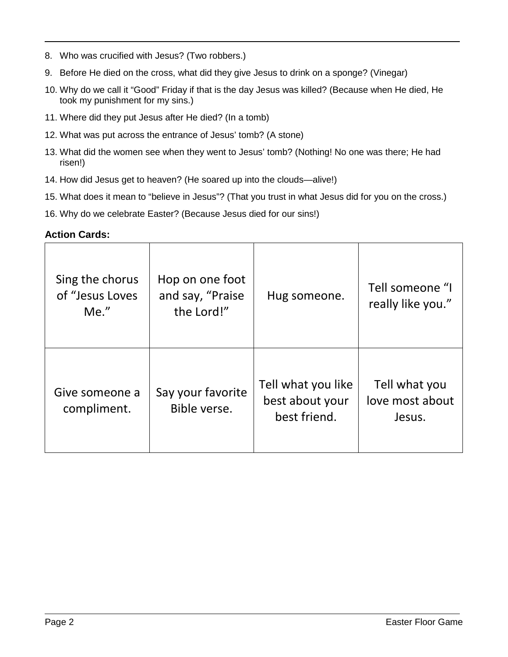- 8. Who was crucified with Jesus? (Two robbers.)
- 9. Before He died on the cross, what did they give Jesus to drink on a sponge? (Vinegar)
- 10. Why do we call it "Good" Friday if that is the day Jesus was killed? (Because when He died, He took my punishment for my sins.)
- 11. Where did they put Jesus after He died? (In a tomb)
- 12. What was put across the entrance of Jesus' tomb? (A stone)
- 13. What did the women see when they went to Jesus' tomb? (Nothing! No one was there; He had risen!)
- 14. How did Jesus get to heaven? (He soared up into the clouds—alive!)
- 15. What does it mean to "believe in Jesus"? (That you trust in what Jesus did for you on the cross.)
- 16. Why do we celebrate Easter? (Because Jesus died for our sins!)

#### **Action Cards:**

| Sing the chorus<br>of "Jesus Loves<br>$Me.$ " | Hop on one foot<br>and say, "Praise<br>the Lord!" | Hug someone.                                          | Tell someone "I<br>really like you."       |
|-----------------------------------------------|---------------------------------------------------|-------------------------------------------------------|--------------------------------------------|
| Give someone a<br>compliment.                 | Say your favorite<br>Bible verse.                 | Tell what you like<br>best about your<br>best friend. | Tell what you<br>love most about<br>Jesus. |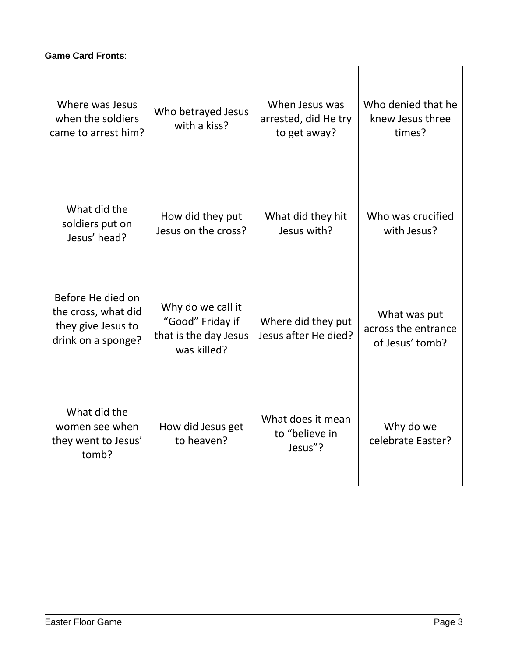# **Game Card Fronts**:

| Where was Jesus<br>when the soldiers<br>came to arrest him?                          | Who betrayed Jesus<br>with a kiss?                                            | When Jesus was<br>arrested, did He try<br>to get away? | Who denied that he<br>knew Jesus three<br>times?       |
|--------------------------------------------------------------------------------------|-------------------------------------------------------------------------------|--------------------------------------------------------|--------------------------------------------------------|
| What did the<br>soldiers put on<br>Jesus' head?                                      | How did they put<br>Jesus on the cross?                                       | What did they hit<br>Jesus with?                       | Who was crucified<br>with Jesus?                       |
| Before He died on<br>the cross, what did<br>they give Jesus to<br>drink on a sponge? | Why do we call it<br>"Good" Friday if<br>that is the day Jesus<br>was killed? | Where did they put<br>Jesus after He died?             | What was put<br>across the entrance<br>of Jesus' tomb? |
| What did the<br>women see when<br>they went to Jesus'<br>tomb?                       | How did Jesus get<br>to heaven?                                               | What does it mean<br>to "believe in<br>Jesus"?         | Why do we<br>celebrate Easter?                         |